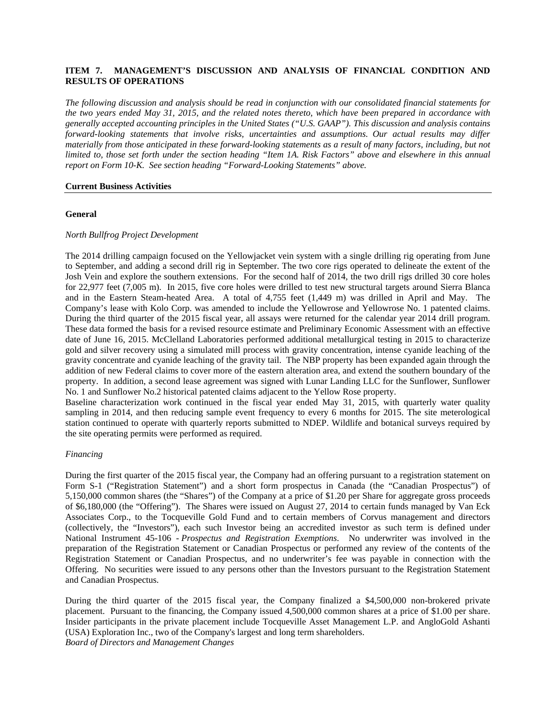# **ITEM 7. MANAGEMENT'S DISCUSSION AND ANALYSIS OF FINANCIAL CONDITION AND RESULTS OF OPERATIONS**

*The following discussion and analysis should be read in conjunction with our consolidated financial statements for the two years ended May 31, 2015, and the related notes thereto, which have been prepared in accordance with generally accepted accounting principles in the United States ("U.S. GAAP"). This discussion and analysis contains forward-looking statements that involve risks, uncertainties and assumptions. Our actual results may differ materially from those anticipated in these forward-looking statements as a result of many factors, including, but not limited to, those set forth under the section heading "Item 1A. Risk Factors" above and elsewhere in this annual report on Form 10-K. See section heading "Forward-Looking Statements" above.*

## **Current Business Activities**

## **General**

### *North Bullfrog Project Development*

The 2014 drilling campaign focused on the Yellowjacket vein system with a single drilling rig operating from June to September, and adding a second drill rig in September. The two core rigs operated to delineate the extent of the Josh Vein and explore the southern extensions. For the second half of 2014, the two drill rigs drilled 30 core holes for 22,977 feet (7,005 m). In 2015, five core holes were drilled to test new structural targets around Sierra Blanca and in the Eastern Steam-heated Area. A total of 4,755 feet (1,449 m) was drilled in April and May. The Company's lease with Kolo Corp. was amended to include the Yellowrose and Yellowrose No. 1 patented claims. During the third quarter of the 2015 fiscal year, all assays were returned for the calendar year 2014 drill program. These data formed the basis for a revised resource estimate and Preliminary Economic Assessment with an effective date of June 16, 2015. McClelland Laboratories performed additional metallurgical testing in 2015 to characterize gold and silver recovery using a simulated mill process with gravity concentration, intense cyanide leaching of the gravity concentrate and cyanide leaching of the gravity tail. The NBP property has been expanded again through the addition of new Federal claims to cover more of the eastern alteration area, and extend the southern boundary of the property. In addition, a second lease agreement was signed with Lunar Landing LLC for the Sunflower, Sunflower No. 1 and Sunflower No.2 historical patented claims adjacent to the Yellow Rose property.

Baseline characterization work continued in the fiscal year ended May 31, 2015, with quarterly water quality sampling in 2014, and then reducing sample event frequency to every 6 months for 2015. The site meterological station continued to operate with quarterly reports submitted to NDEP. Wildlife and botanical surveys required by the site operating permits were performed as required.

## *Financing*

During the first quarter of the 2015 fiscal year, the Company had an offering pursuant to a registration statement on Form S-1 ("Registration Statement") and a short form prospectus in Canada (the "Canadian Prospectus") of 5,150,000 common shares (the "Shares") of the Company at a price of \$1.20 per Share for aggregate gross proceeds of \$6,180,000 (the "Offering"). The Shares were issued on August 27, 2014 to certain funds managed by Van Eck Associates Corp., to the Tocqueville Gold Fund and to certain members of Corvus management and directors (collectively, the "Investors"), each such Investor being an accredited investor as such term is defined under National Instrument 45-106 - *Prospectus and Registration Exemptions*. No underwriter was involved in the preparation of the Registration Statement or Canadian Prospectus or performed any review of the contents of the Registration Statement or Canadian Prospectus, and no underwriter's fee was payable in connection with the Offering. No securities were issued to any persons other than the Investors pursuant to the Registration Statement and Canadian Prospectus.

During the third quarter of the 2015 fiscal year, the Company finalized a \$4,500,000 non-brokered private placement. Pursuant to the financing, the Company issued 4,500,000 common shares at a price of \$1.00 per share. Insider participants in the private placement include Tocqueville Asset Management L.P. and AngloGold Ashanti (USA) Exploration Inc., two of the Company's largest and long term shareholders. *Board of Directors and Management Changes*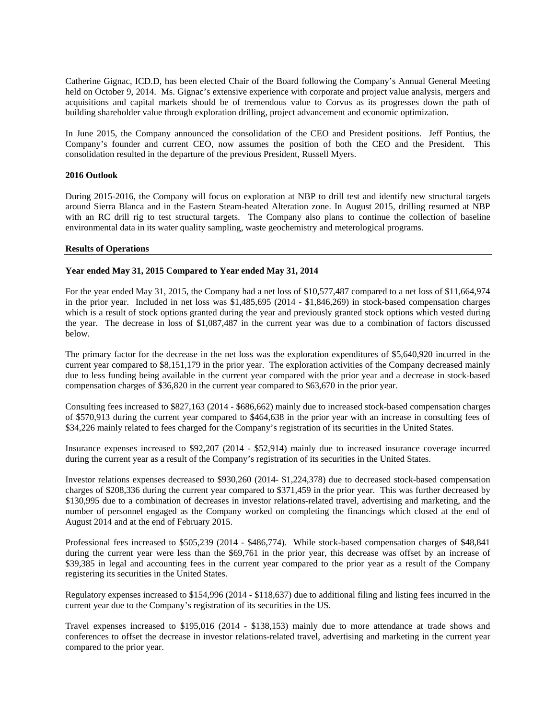Catherine Gignac, ICD.D, has been elected Chair of the Board following the Company's Annual General Meeting held on October 9, 2014. Ms. Gignac's extensive experience with corporate and project value analysis, mergers and acquisitions and capital markets should be of tremendous value to Corvus as its progresses down the path of building shareholder value through exploration drilling, project advancement and economic optimization.

In June 2015, the Company announced the consolidation of the CEO and President positions. Jeff Pontius, the Company's founder and current CEO, now assumes the position of both the CEO and the President. This consolidation resulted in the departure of the previous President, Russell Myers.

## **2016 Outlook**

During 2015-2016, the Company will focus on exploration at NBP to drill test and identify new structural targets around Sierra Blanca and in the Eastern Steam-heated Alteration zone. In August 2015, drilling resumed at NBP with an RC drill rig to test structural targets. The Company also plans to continue the collection of baseline environmental data in its water quality sampling, waste geochemistry and meterological programs.

#### **Results of Operations**

## **Year ended May 31, 2015 Compared to Year ended May 31, 2014**

For the year ended May 31, 2015, the Company had a net loss of \$10,577,487 compared to a net loss of \$11,664,974 in the prior year. Included in net loss was \$1,485,695 (2014 - \$1,846,269) in stock-based compensation charges which is a result of stock options granted during the year and previously granted stock options which vested during the year. The decrease in loss of \$1,087,487 in the current year was due to a combination of factors discussed below.

The primary factor for the decrease in the net loss was the exploration expenditures of \$5,640,920 incurred in the current year compared to \$8,151,179 in the prior year. The exploration activities of the Company decreased mainly due to less funding being available in the current year compared with the prior year and a decrease in stock-based compensation charges of \$36,820 in the current year compared to \$63,670 in the prior year.

Consulting fees increased to \$827,163 (2014 - \$686,662) mainly due to increased stock-based compensation charges of \$570,913 during the current year compared to \$464,638 in the prior year with an increase in consulting fees of \$34,226 mainly related to fees charged for the Company's registration of its securities in the United States.

Insurance expenses increased to \$92,207 (2014 - \$52,914) mainly due to increased insurance coverage incurred during the current year as a result of the Company's registration of its securities in the United States.

Investor relations expenses decreased to \$930,260 (2014- \$1,224,378) due to decreased stock-based compensation charges of \$208,336 during the current year compared to \$371,459 in the prior year. This was further decreased by \$130,995 due to a combination of decreases in investor relations-related travel, advertising and marketing, and the number of personnel engaged as the Company worked on completing the financings which closed at the end of August 2014 and at the end of February 2015.

Professional fees increased to \$505,239 (2014 - \$486,774). While stock-based compensation charges of \$48,841 during the current year were less than the \$69,761 in the prior year, this decrease was offset by an increase of \$39,385 in legal and accounting fees in the current year compared to the prior year as a result of the Company registering its securities in the United States.

Regulatory expenses increased to \$154,996 (2014 - \$118,637) due to additional filing and listing fees incurred in the current year due to the Company's registration of its securities in the US.

Travel expenses increased to \$195,016 (2014 - \$138,153) mainly due to more attendance at trade shows and conferences to offset the decrease in investor relations-related travel, advertising and marketing in the current year compared to the prior year.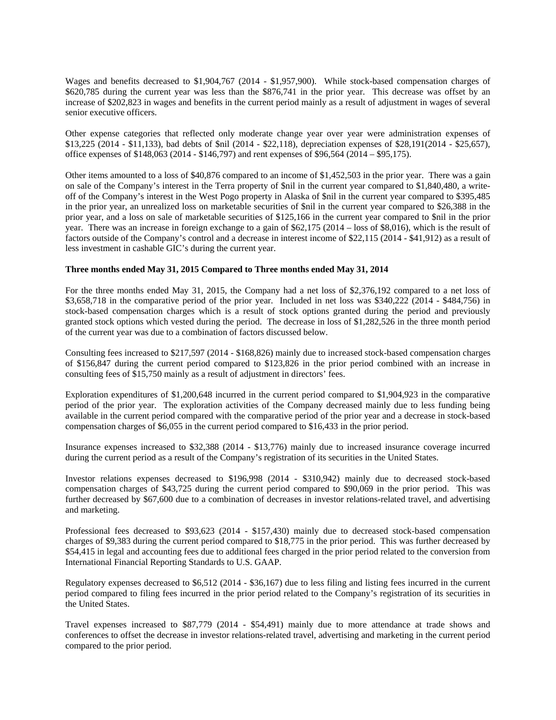Wages and benefits decreased to \$1,904,767 (2014 - \$1,957,900). While stock-based compensation charges of \$620,785 during the current year was less than the \$876,741 in the prior year. This decrease was offset by an increase of \$202,823 in wages and benefits in the current period mainly as a result of adjustment in wages of several senior executive officers.

Other expense categories that reflected only moderate change year over year were administration expenses of \$13,225 (2014 - \$11,133), bad debts of \$nil (2014 - \$22,118), depreciation expenses of \$28,191(2014 - \$25,657), office expenses of \$148,063 (2014 - \$146,797) and rent expenses of \$96,564 (2014 – \$95,175).

Other items amounted to a loss of \$40,876 compared to an income of \$1,452,503 in the prior year. There was a gain on sale of the Company's interest in the Terra property of \$nil in the current year compared to \$1,840,480, a writeoff of the Company's interest in the West Pogo property in Alaska of \$nil in the current year compared to \$395,485 in the prior year, an unrealized loss on marketable securities of \$nil in the current year compared to \$26,388 in the prior year, and a loss on sale of marketable securities of \$125,166 in the current year compared to \$nil in the prior year. There was an increase in foreign exchange to a gain of \$62,175 (2014 – loss of \$8,016), which is the result of factors outside of the Company's control and a decrease in interest income of \$22,115 (2014 - \$41,912) as a result of less investment in cashable GIC's during the current year.

## **Three months ended May 31, 2015 Compared to Three months ended May 31, 2014**

For the three months ended May 31, 2015, the Company had a net loss of \$2,376,192 compared to a net loss of \$3,658,718 in the comparative period of the prior year. Included in net loss was \$340,222 (2014 - \$484,756) in stock-based compensation charges which is a result of stock options granted during the period and previously granted stock options which vested during the period. The decrease in loss of \$1,282,526 in the three month period of the current year was due to a combination of factors discussed below.

Consulting fees increased to \$217,597 (2014 - \$168,826) mainly due to increased stock-based compensation charges of \$156,847 during the current period compared to \$123,826 in the prior period combined with an increase in consulting fees of \$15,750 mainly as a result of adjustment in directors' fees.

Exploration expenditures of \$1,200,648 incurred in the current period compared to \$1,904,923 in the comparative period of the prior year. The exploration activities of the Company decreased mainly due to less funding being available in the current period compared with the comparative period of the prior year and a decrease in stock-based compensation charges of \$6,055 in the current period compared to \$16,433 in the prior period.

Insurance expenses increased to \$32,388 (2014 - \$13,776) mainly due to increased insurance coverage incurred during the current period as a result of the Company's registration of its securities in the United States.

Investor relations expenses decreased to \$196,998 (2014 - \$310,942) mainly due to decreased stock-based compensation charges of \$43,725 during the current period compared to \$90,069 in the prior period. This was further decreased by \$67,600 due to a combination of decreases in investor relations-related travel, and advertising and marketing.

Professional fees decreased to \$93,623 (2014 - \$157,430) mainly due to decreased stock-based compensation charges of \$9,383 during the current period compared to \$18,775 in the prior period. This was further decreased by \$54,415 in legal and accounting fees due to additional fees charged in the prior period related to the conversion from International Financial Reporting Standards to U.S. GAAP.

Regulatory expenses decreased to \$6,512 (2014 - \$36,167) due to less filing and listing fees incurred in the current period compared to filing fees incurred in the prior period related to the Company's registration of its securities in the United States.

Travel expenses increased to \$87,779 (2014 - \$54,491) mainly due to more attendance at trade shows and conferences to offset the decrease in investor relations-related travel, advertising and marketing in the current period compared to the prior period.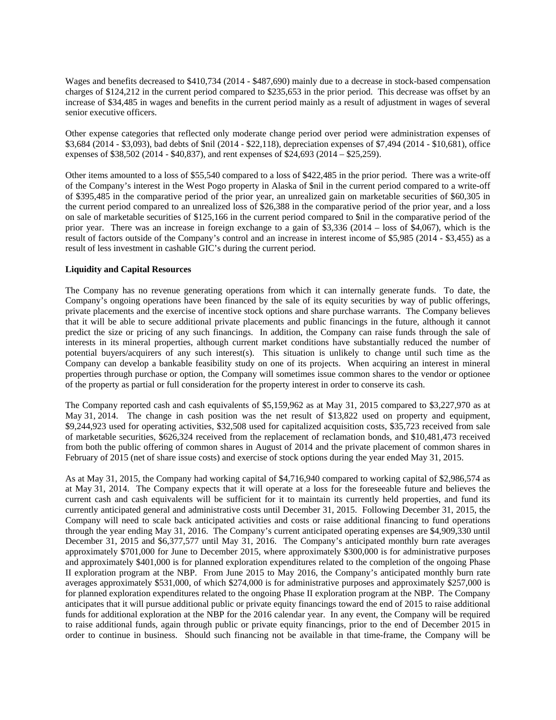Wages and benefits decreased to \$410,734 (2014 - \$487,690) mainly due to a decrease in stock-based compensation charges of \$124,212 in the current period compared to \$235,653 in the prior period. This decrease was offset by an increase of \$34,485 in wages and benefits in the current period mainly as a result of adjustment in wages of several senior executive officers.

Other expense categories that reflected only moderate change period over period were administration expenses of \$3,684 (2014 - \$3,093), bad debts of \$nil (2014 - \$22,118), depreciation expenses of \$7,494 (2014 - \$10,681), office expenses of \$38,502 (2014 - \$40,837), and rent expenses of \$24,693 (2014 – \$25,259).

Other items amounted to a loss of \$55,540 compared to a loss of \$422,485 in the prior period. There was a write-off of the Company's interest in the West Pogo property in Alaska of \$nil in the current period compared to a write-off of \$395,485 in the comparative period of the prior year, an unrealized gain on marketable securities of \$60,305 in the current period compared to an unrealized loss of \$26,388 in the comparative period of the prior year, and a loss on sale of marketable securities of \$125,166 in the current period compared to \$nil in the comparative period of the prior year. There was an increase in foreign exchange to a gain of \$3,336 (2014 – loss of \$4,067), which is the result of factors outside of the Company's control and an increase in interest income of \$5,985 (2014 - \$3,455) as a result of less investment in cashable GIC's during the current period.

## **Liquidity and Capital Resources**

The Company has no revenue generating operations from which it can internally generate funds. To date, the Company's ongoing operations have been financed by the sale of its equity securities by way of public offerings, private placements and the exercise of incentive stock options and share purchase warrants. The Company believes that it will be able to secure additional private placements and public financings in the future, although it cannot predict the size or pricing of any such financings. In addition, the Company can raise funds through the sale of interests in its mineral properties, although current market conditions have substantially reduced the number of potential buyers/acquirers of any such interest(s). This situation is unlikely to change until such time as the Company can develop a bankable feasibility study on one of its projects. When acquiring an interest in mineral properties through purchase or option, the Company will sometimes issue common shares to the vendor or optionee of the property as partial or full consideration for the property interest in order to conserve its cash.

The Company reported cash and cash equivalents of \$5,159,962 as at May 31, 2015 compared to \$3,227,970 as at May 31, 2014. The change in cash position was the net result of \$13,822 used on property and equipment, \$9,244,923 used for operating activities, \$32,508 used for capitalized acquisition costs, \$35,723 received from sale of marketable securities, \$626,324 received from the replacement of reclamation bonds, and \$10,481,473 received from both the public offering of common shares in August of 2014 and the private placement of common shares in February of 2015 (net of share issue costs) and exercise of stock options during the year ended May 31, 2015.

As at May 31, 2015, the Company had working capital of \$4,716,940 compared to working capital of \$2,986,574 as at May 31, 2014. The Company expects that it will operate at a loss for the foreseeable future and believes the current cash and cash equivalents will be sufficient for it to maintain its currently held properties, and fund its currently anticipated general and administrative costs until December 31, 2015. Following December 31, 2015, the Company will need to scale back anticipated activities and costs or raise additional financing to fund operations through the year ending May 31, 2016. The Company's current anticipated operating expenses are \$4,909,330 until December 31, 2015 and \$6,377,577 until May 31, 2016. The Company's anticipated monthly burn rate averages approximately \$701,000 for June to December 2015, where approximately \$300,000 is for administrative purposes and approximately \$401,000 is for planned exploration expenditures related to the completion of the ongoing Phase II exploration program at the NBP. From June 2015 to May 2016, the Company's anticipated monthly burn rate averages approximately \$531,000, of which \$274,000 is for administrative purposes and approximately \$257,000 is for planned exploration expenditures related to the ongoing Phase II exploration program at the NBP. The Company anticipates that it will pursue additional public or private equity financings toward the end of 2015 to raise additional funds for additional exploration at the NBP for the 2016 calendar year. In any event, the Company will be required to raise additional funds, again through public or private equity financings, prior to the end of December 2015 in order to continue in business. Should such financing not be available in that time-frame, the Company will be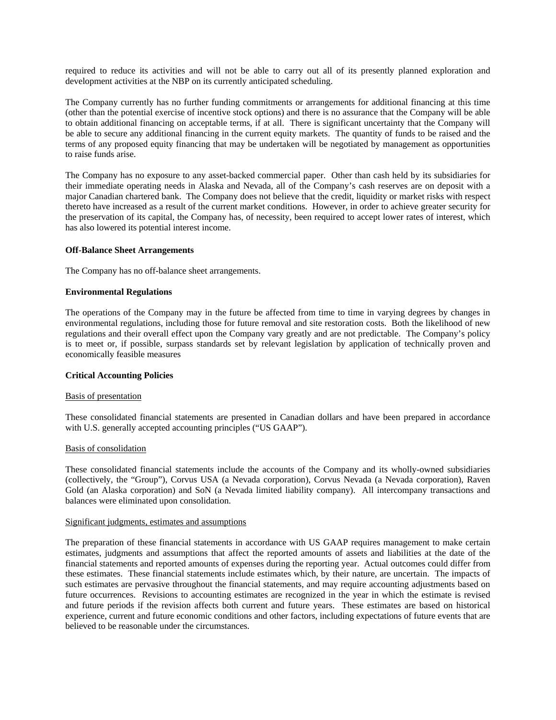required to reduce its activities and will not be able to carry out all of its presently planned exploration and development activities at the NBP on its currently anticipated scheduling.

The Company currently has no further funding commitments or arrangements for additional financing at this time (other than the potential exercise of incentive stock options) and there is no assurance that the Company will be able to obtain additional financing on acceptable terms, if at all. There is significant uncertainty that the Company will be able to secure any additional financing in the current equity markets. The quantity of funds to be raised and the terms of any proposed equity financing that may be undertaken will be negotiated by management as opportunities to raise funds arise.

The Company has no exposure to any asset-backed commercial paper. Other than cash held by its subsidiaries for their immediate operating needs in Alaska and Nevada, all of the Company's cash reserves are on deposit with a major Canadian chartered bank. The Company does not believe that the credit, liquidity or market risks with respect thereto have increased as a result of the current market conditions. However, in order to achieve greater security for the preservation of its capital, the Company has, of necessity, been required to accept lower rates of interest, which has also lowered its potential interest income.

## **Off-Balance Sheet Arrangements**

The Company has no off-balance sheet arrangements.

## **Environmental Regulations**

The operations of the Company may in the future be affected from time to time in varying degrees by changes in environmental regulations, including those for future removal and site restoration costs. Both the likelihood of new regulations and their overall effect upon the Company vary greatly and are not predictable. The Company's policy is to meet or, if possible, surpass standards set by relevant legislation by application of technically proven and economically feasible measures

## **Critical Accounting Policies**

## Basis of presentation

These consolidated financial statements are presented in Canadian dollars and have been prepared in accordance with U.S. generally accepted accounting principles ("US GAAP").

## Basis of consolidation

These consolidated financial statements include the accounts of the Company and its wholly-owned subsidiaries (collectively, the "Group"), Corvus USA (a Nevada corporation), Corvus Nevada (a Nevada corporation), Raven Gold (an Alaska corporation) and SoN (a Nevada limited liability company). All intercompany transactions and balances were eliminated upon consolidation.

## Significant judgments, estimates and assumptions

The preparation of these financial statements in accordance with US GAAP requires management to make certain estimates, judgments and assumptions that affect the reported amounts of assets and liabilities at the date of the financial statements and reported amounts of expenses during the reporting year. Actual outcomes could differ from these estimates. These financial statements include estimates which, by their nature, are uncertain. The impacts of such estimates are pervasive throughout the financial statements, and may require accounting adjustments based on future occurrences. Revisions to accounting estimates are recognized in the year in which the estimate is revised and future periods if the revision affects both current and future years. These estimates are based on historical experience, current and future economic conditions and other factors, including expectations of future events that are believed to be reasonable under the circumstances.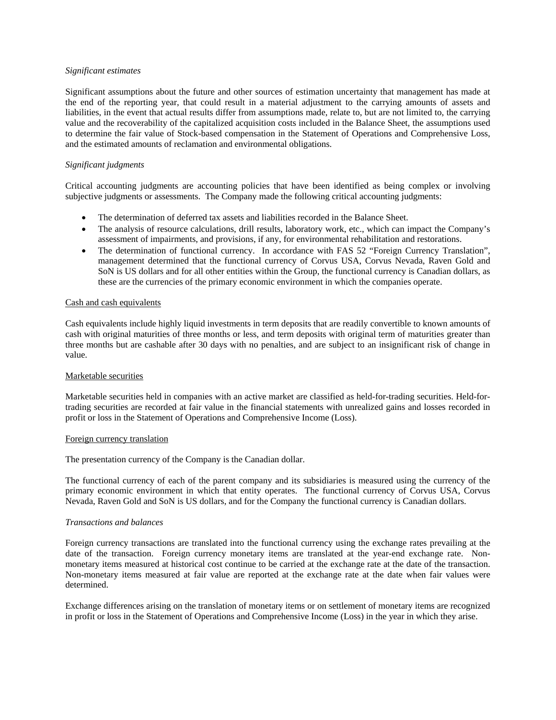## *Significant estimates*

Significant assumptions about the future and other sources of estimation uncertainty that management has made at the end of the reporting year, that could result in a material adjustment to the carrying amounts of assets and liabilities, in the event that actual results differ from assumptions made, relate to, but are not limited to, the carrying value and the recoverability of the capitalized acquisition costs included in the Balance Sheet, the assumptions used to determine the fair value of Stock-based compensation in the Statement of Operations and Comprehensive Loss, and the estimated amounts of reclamation and environmental obligations.

# *Significant judgments*

Critical accounting judgments are accounting policies that have been identified as being complex or involving subjective judgments or assessments. The Company made the following critical accounting judgments:

- The determination of deferred tax assets and liabilities recorded in the Balance Sheet.
- The analysis of resource calculations, drill results, laboratory work, etc., which can impact the Company's assessment of impairments, and provisions, if any, for environmental rehabilitation and restorations.
- The determination of functional currency. In accordance with FAS 52 "Foreign Currency Translation", management determined that the functional currency of Corvus USA, Corvus Nevada, Raven Gold and SoN is US dollars and for all other entities within the Group, the functional currency is Canadian dollars, as these are the currencies of the primary economic environment in which the companies operate.

## Cash and cash equivalents

Cash equivalents include highly liquid investments in term deposits that are readily convertible to known amounts of cash with original maturities of three months or less, and term deposits with original term of maturities greater than three months but are cashable after 30 days with no penalties, and are subject to an insignificant risk of change in value.

## Marketable securities

Marketable securities held in companies with an active market are classified as held-for-trading securities. Held-fortrading securities are recorded at fair value in the financial statements with unrealized gains and losses recorded in profit or loss in the Statement of Operations and Comprehensive Income (Loss).

## Foreign currency translation

The presentation currency of the Company is the Canadian dollar.

The functional currency of each of the parent company and its subsidiaries is measured using the currency of the primary economic environment in which that entity operates. The functional currency of Corvus USA, Corvus Nevada, Raven Gold and SoN is US dollars, and for the Company the functional currency is Canadian dollars.

# *Transactions and balances*

Foreign currency transactions are translated into the functional currency using the exchange rates prevailing at the date of the transaction. Foreign currency monetary items are translated at the year-end exchange rate. Nonmonetary items measured at historical cost continue to be carried at the exchange rate at the date of the transaction. Non-monetary items measured at fair value are reported at the exchange rate at the date when fair values were determined.

Exchange differences arising on the translation of monetary items or on settlement of monetary items are recognized in profit or loss in the Statement of Operations and Comprehensive Income (Loss) in the year in which they arise.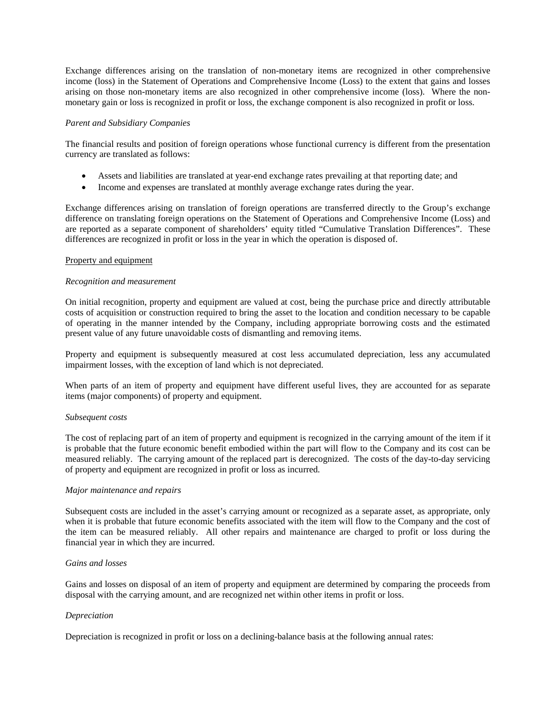Exchange differences arising on the translation of non-monetary items are recognized in other comprehensive income (loss) in the Statement of Operations and Comprehensive Income (Loss) to the extent that gains and losses arising on those non-monetary items are also recognized in other comprehensive income (loss). Where the nonmonetary gain or loss is recognized in profit or loss, the exchange component is also recognized in profit or loss.

### *Parent and Subsidiary Companies*

The financial results and position of foreign operations whose functional currency is different from the presentation currency are translated as follows:

- Assets and liabilities are translated at year-end exchange rates prevailing at that reporting date; and
- Income and expenses are translated at monthly average exchange rates during the year.

Exchange differences arising on translation of foreign operations are transferred directly to the Group's exchange difference on translating foreign operations on the Statement of Operations and Comprehensive Income (Loss) and are reported as a separate component of shareholders' equity titled "Cumulative Translation Differences". These differences are recognized in profit or loss in the year in which the operation is disposed of.

## Property and equipment

### *Recognition and measurement*

On initial recognition, property and equipment are valued at cost, being the purchase price and directly attributable costs of acquisition or construction required to bring the asset to the location and condition necessary to be capable of operating in the manner intended by the Company, including appropriate borrowing costs and the estimated present value of any future unavoidable costs of dismantling and removing items.

Property and equipment is subsequently measured at cost less accumulated depreciation, less any accumulated impairment losses, with the exception of land which is not depreciated.

When parts of an item of property and equipment have different useful lives, they are accounted for as separate items (major components) of property and equipment.

#### *Subsequent costs*

The cost of replacing part of an item of property and equipment is recognized in the carrying amount of the item if it is probable that the future economic benefit embodied within the part will flow to the Company and its cost can be measured reliably. The carrying amount of the replaced part is derecognized. The costs of the day-to-day servicing of property and equipment are recognized in profit or loss as incurred.

## *Major maintenance and repairs*

Subsequent costs are included in the asset's carrying amount or recognized as a separate asset, as appropriate, only when it is probable that future economic benefits associated with the item will flow to the Company and the cost of the item can be measured reliably. All other repairs and maintenance are charged to profit or loss during the financial year in which they are incurred.

## *Gains and losses*

Gains and losses on disposal of an item of property and equipment are determined by comparing the proceeds from disposal with the carrying amount, and are recognized net within other items in profit or loss.

## *Depreciation*

Depreciation is recognized in profit or loss on a declining-balance basis at the following annual rates: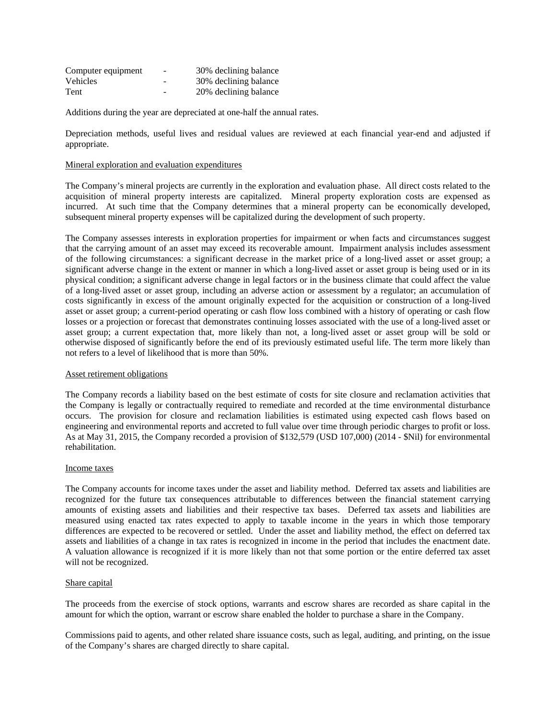| Computer equipment | - | 30% declining balance |
|--------------------|---|-----------------------|
| <b>Vehicles</b>    | - | 30% declining balance |
| Tent               | - | 20% declining balance |

Additions during the year are depreciated at one-half the annual rates.

Depreciation methods, useful lives and residual values are reviewed at each financial year-end and adjusted if appropriate.

## Mineral exploration and evaluation expenditures

The Company's mineral projects are currently in the exploration and evaluation phase. All direct costs related to the acquisition of mineral property interests are capitalized. Mineral property exploration costs are expensed as incurred. At such time that the Company determines that a mineral property can be economically developed, subsequent mineral property expenses will be capitalized during the development of such property.

The Company assesses interests in exploration properties for impairment or when facts and circumstances suggest that the carrying amount of an asset may exceed its recoverable amount. Impairment analysis includes assessment of the following circumstances: a significant decrease in the market price of a long-lived asset or asset group; a significant adverse change in the extent or manner in which a long-lived asset or asset group is being used or in its physical condition; a significant adverse change in legal factors or in the business climate that could affect the value of a long-lived asset or asset group, including an adverse action or assessment by a regulator; an accumulation of costs significantly in excess of the amount originally expected for the acquisition or construction of a long-lived asset or asset group; a current-period operating or cash flow loss combined with a history of operating or cash flow losses or a projection or forecast that demonstrates continuing losses associated with the use of a long-lived asset or asset group; a current expectation that, more likely than not, a long-lived asset or asset group will be sold or otherwise disposed of significantly before the end of its previously estimated useful life. The term more likely than not refers to a level of likelihood that is more than 50%.

## Asset retirement obligations

The Company records a liability based on the best estimate of costs for site closure and reclamation activities that the Company is legally or contractually required to remediate and recorded at the time environmental disturbance occurs. The provision for closure and reclamation liabilities is estimated using expected cash flows based on engineering and environmental reports and accreted to full value over time through periodic charges to profit or loss. As at May 31, 2015, the Company recorded a provision of \$132,579 (USD 107,000) (2014 - \$Nil) for environmental rehabilitation.

## Income taxes

The Company accounts for income taxes under the asset and liability method. Deferred tax assets and liabilities are recognized for the future tax consequences attributable to differences between the financial statement carrying amounts of existing assets and liabilities and their respective tax bases. Deferred tax assets and liabilities are measured using enacted tax rates expected to apply to taxable income in the years in which those temporary differences are expected to be recovered or settled. Under the asset and liability method, the effect on deferred tax assets and liabilities of a change in tax rates is recognized in income in the period that includes the enactment date. A valuation allowance is recognized if it is more likely than not that some portion or the entire deferred tax asset will not be recognized.

## Share capital

The proceeds from the exercise of stock options, warrants and escrow shares are recorded as share capital in the amount for which the option, warrant or escrow share enabled the holder to purchase a share in the Company.

Commissions paid to agents, and other related share issuance costs, such as legal, auditing, and printing, on the issue of the Company's shares are charged directly to share capital.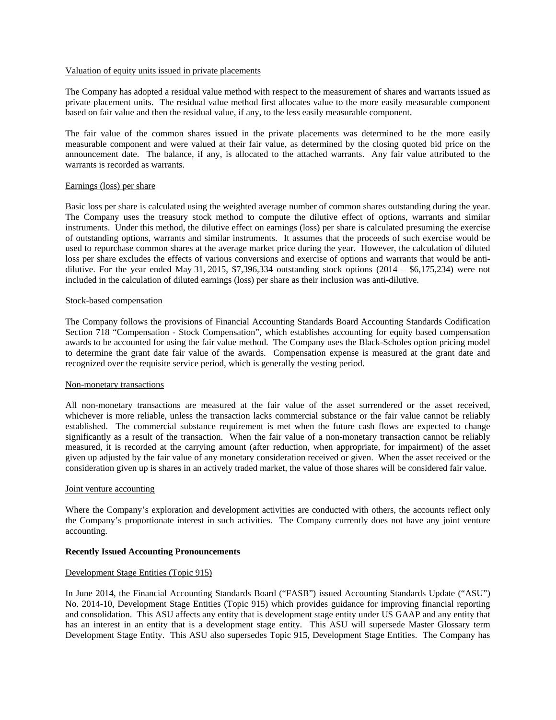### Valuation of equity units issued in private placements

The Company has adopted a residual value method with respect to the measurement of shares and warrants issued as private placement units. The residual value method first allocates value to the more easily measurable component based on fair value and then the residual value, if any, to the less easily measurable component.

The fair value of the common shares issued in the private placements was determined to be the more easily measurable component and were valued at their fair value, as determined by the closing quoted bid price on the announcement date. The balance, if any, is allocated to the attached warrants. Any fair value attributed to the warrants is recorded as warrants.

## Earnings (loss) per share

Basic loss per share is calculated using the weighted average number of common shares outstanding during the year. The Company uses the treasury stock method to compute the dilutive effect of options, warrants and similar instruments. Under this method, the dilutive effect on earnings (loss) per share is calculated presuming the exercise of outstanding options, warrants and similar instruments. It assumes that the proceeds of such exercise would be used to repurchase common shares at the average market price during the year. However, the calculation of diluted loss per share excludes the effects of various conversions and exercise of options and warrants that would be antidilutive. For the year ended May 31, 2015, \$7,396,334 outstanding stock options (2014 – \$6,175,234) were not included in the calculation of diluted earnings (loss) per share as their inclusion was anti-dilutive.

### Stock-based compensation

The Company follows the provisions of Financial Accounting Standards Board Accounting Standards Codification Section 718 "Compensation - Stock Compensation", which establishes accounting for equity based compensation awards to be accounted for using the fair value method. The Company uses the Black-Scholes option pricing model to determine the grant date fair value of the awards. Compensation expense is measured at the grant date and recognized over the requisite service period, which is generally the vesting period.

### Non-monetary transactions

All non-monetary transactions are measured at the fair value of the asset surrendered or the asset received, whichever is more reliable, unless the transaction lacks commercial substance or the fair value cannot be reliably established. The commercial substance requirement is met when the future cash flows are expected to change significantly as a result of the transaction. When the fair value of a non-monetary transaction cannot be reliably measured, it is recorded at the carrying amount (after reduction, when appropriate, for impairment) of the asset given up adjusted by the fair value of any monetary consideration received or given. When the asset received or the consideration given up is shares in an actively traded market, the value of those shares will be considered fair value.

#### Joint venture accounting

Where the Company's exploration and development activities are conducted with others, the accounts reflect only the Company's proportionate interest in such activities. The Company currently does not have any joint venture accounting.

## **Recently Issued Accounting Pronouncements**

## Development Stage Entities (Topic 915)

In June 2014, the Financial Accounting Standards Board ("FASB") issued Accounting Standards Update ("ASU") No. 2014-10, Development Stage Entities (Topic 915) which provides guidance for improving financial reporting and consolidation. This ASU affects any entity that is development stage entity under US GAAP and any entity that has an interest in an entity that is a development stage entity. This ASU will supersede Master Glossary term Development Stage Entity. This ASU also supersedes Topic 915, Development Stage Entities. The Company has